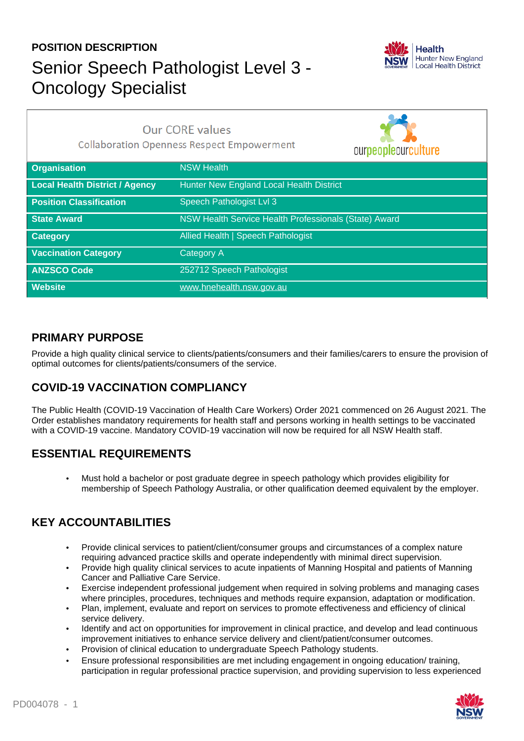# **POSITION DESCRIPTION** Senior Speech Pathologist Level 3 - Oncology Specialist



| <b>Our CORE values</b><br><b>Collaboration Openness Respect Empowerment</b> |                                                       | ourpeopleourculture |
|-----------------------------------------------------------------------------|-------------------------------------------------------|---------------------|
| <b>Organisation</b>                                                         | <b>NSW Health</b>                                     |                     |
| <b>Local Health District / Agency</b>                                       | <b>Hunter New England Local Health District</b>       |                     |
| <b>Position Classification</b>                                              | Speech Pathologist Lvl 3                              |                     |
| <b>State Award</b>                                                          | NSW Health Service Health Professionals (State) Award |                     |
| <b>Category</b>                                                             | <b>Allied Health   Speech Pathologist</b>             |                     |
| <b>Vaccination Category</b>                                                 | <b>Category A</b>                                     |                     |
| <b>ANZSCO Code</b>                                                          | 252712 Speech Pathologist                             |                     |
| <b>Website</b>                                                              | www.hnehealth.nsw.gov.au                              |                     |

### **PRIMARY PURPOSE**

Provide a high quality clinical service to clients/patients/consumers and their families/carers to ensure the provision of optimal outcomes for clients/patients/consumers of the service.

# **COVID-19 VACCINATION COMPLIANCY**

The Public Health (COVID-19 Vaccination of Health Care Workers) Order 2021 commenced on 26 August 2021. The Order establishes mandatory requirements for health staff and persons working in health settings to be vaccinated with a COVID-19 vaccine. Mandatory COVID-19 vaccination will now be required for all NSW Health staff.

# **ESSENTIAL REQUIREMENTS**

• Must hold a bachelor or post graduate degree in speech pathology which provides eligibility for membership of Speech Pathology Australia, or other qualification deemed equivalent by the employer.

# **KEY ACCOUNTABILITIES**

- Provide clinical services to patient/client/consumer groups and circumstances of a complex nature requiring advanced practice skills and operate independently with minimal direct supervision.
- Provide high quality clinical services to acute inpatients of Manning Hospital and patients of Manning Cancer and Palliative Care Service.
- Exercise independent professional judgement when required in solving problems and managing cases where principles, procedures, techniques and methods require expansion, adaptation or modification.
- Plan, implement, evaluate and report on services to promote effectiveness and efficiency of clinical service delivery.
- Identify and act on opportunities for improvement in clinical practice, and develop and lead continuous improvement initiatives to enhance service delivery and client/patient/consumer outcomes.
- Provision of clinical education to undergraduate Speech Pathology students.
- Ensure professional responsibilities are met including engagement in ongoing education/ training, participation in regular professional practice supervision, and providing supervision to less experienced

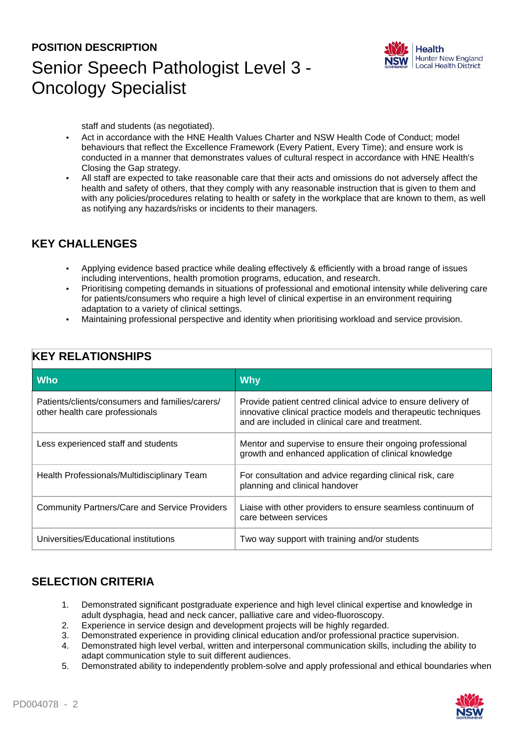#### **POSITION DESCRIPTION**

# Senior Speech Pathologist Level 3 - Oncology Specialist



staff and students (as negotiated).

- Act in accordance with the HNE Health Values Charter and NSW Health Code of Conduct; model behaviours that reflect the Excellence Framework (Every Patient, Every Time); and ensure work is conducted in a manner that demonstrates values of cultural respect in accordance with HNE Health's Closing the Gap strategy.
- All staff are expected to take reasonable care that their acts and omissions do not adversely affect the health and safety of others, that they comply with any reasonable instruction that is given to them and with any policies/procedures relating to health or safety in the workplace that are known to them, as well as notifying any hazards/risks or incidents to their managers.

### **KEY CHALLENGES**

- Applying evidence based practice while dealing effectively & efficiently with a broad range of issues including interventions, health promotion programs, education, and research.
- Prioritising competing demands in situations of professional and emotional intensity while delivering care for patients/consumers who require a high level of clinical expertise in an environment requiring adaptation to a variety of clinical settings.
- Maintaining professional perspective and identity when prioritising workload and service provision.

| Who                                                                                | <b>Why</b>                                                                                                                                                                          |  |  |
|------------------------------------------------------------------------------------|-------------------------------------------------------------------------------------------------------------------------------------------------------------------------------------|--|--|
| Patients/clients/consumers and families/carers/<br>other health care professionals | Provide patient centred clinical advice to ensure delivery of<br>innovative clinical practice models and therapeutic techniques<br>and are included in clinical care and treatment. |  |  |
| Less experienced staff and students                                                | Mentor and supervise to ensure their ongoing professional<br>growth and enhanced application of clinical knowledge                                                                  |  |  |
| Health Professionals/Multidisciplinary Team                                        | For consultation and advice regarding clinical risk, care<br>planning and clinical handover                                                                                         |  |  |
| <b>Community Partners/Care and Service Providers</b>                               | Liaise with other providers to ensure seamless continuum of<br>care between services                                                                                                |  |  |
| Universities/Educational institutions                                              | Two way support with training and/or students                                                                                                                                       |  |  |

### **KEY RELATIONSHIPS**

# **SELECTION CRITERIA**

- 1. Demonstrated significant postgraduate experience and high level clinical expertise and knowledge in adult dysphagia, head and neck cancer, palliative care and video-fluoroscopy.
- 2. Experience in service design and development projects will be highly regarded.
- 3. Demonstrated experience in providing clinical education and/or professional practice supervision.
- 4. Demonstrated high level verbal, written and interpersonal communication skills, including the ability to adapt communication style to suit different audiences.
- 5. Demonstrated ability to independently problem-solve and apply professional and ethical boundaries when